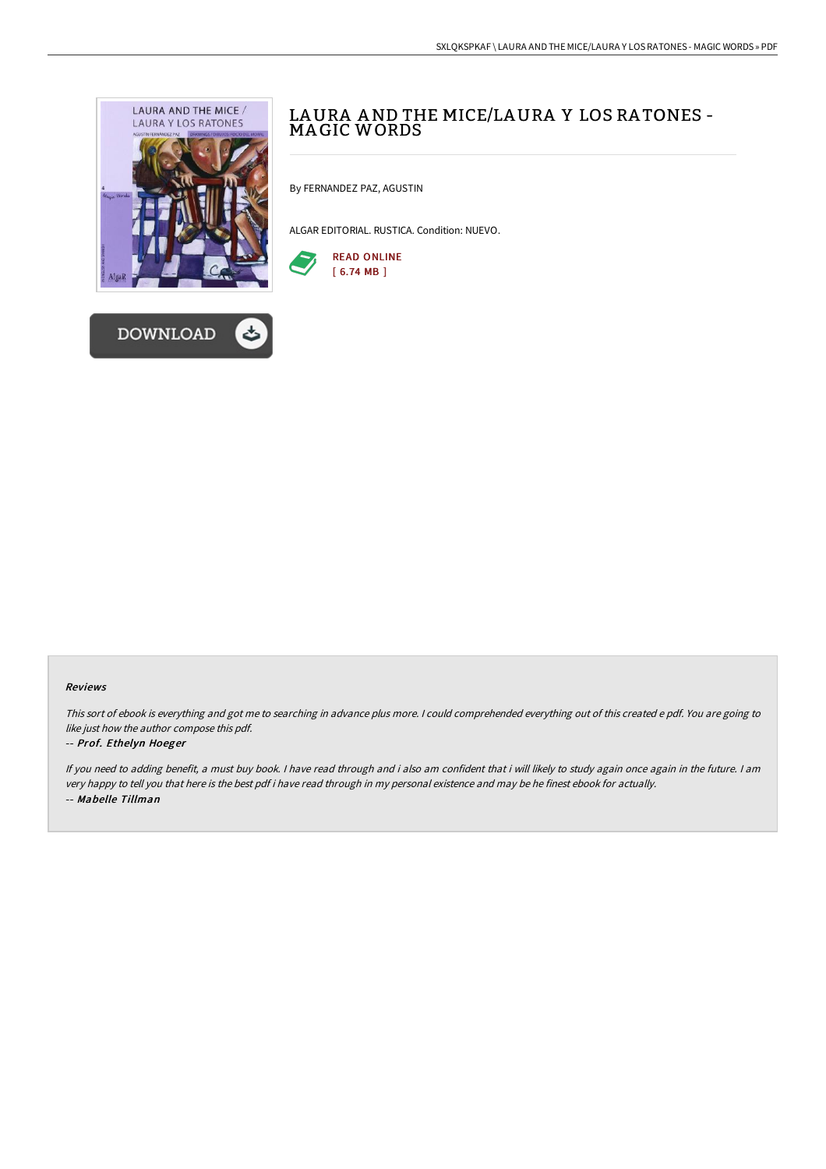



# LAURA AND THE MICE/LAURA Y LOS RATONES -<br>MAGIC WORDS

By FERNANDEZ PAZ, AGUSTIN

ALGAR EDITORIAL. RUSTICA. Condition: NUEVO.



#### Reviews

This sort of ebook is everything and got me to searching in advance plus more. <sup>I</sup> could comprehended everything out of this created <sup>e</sup> pdf. You are going to like just how the author compose this pdf.

#### -- Prof. Ethelyn Hoeger

If you need to adding benefit, <sup>a</sup> must buy book. <sup>I</sup> have read through and i also am confident that i will likely to study again once again in the future. <sup>I</sup> am very happy to tell you that here is the best pdf i have read through in my personal existence and may be he finest ebook for actually. -- Mabelle Tillman